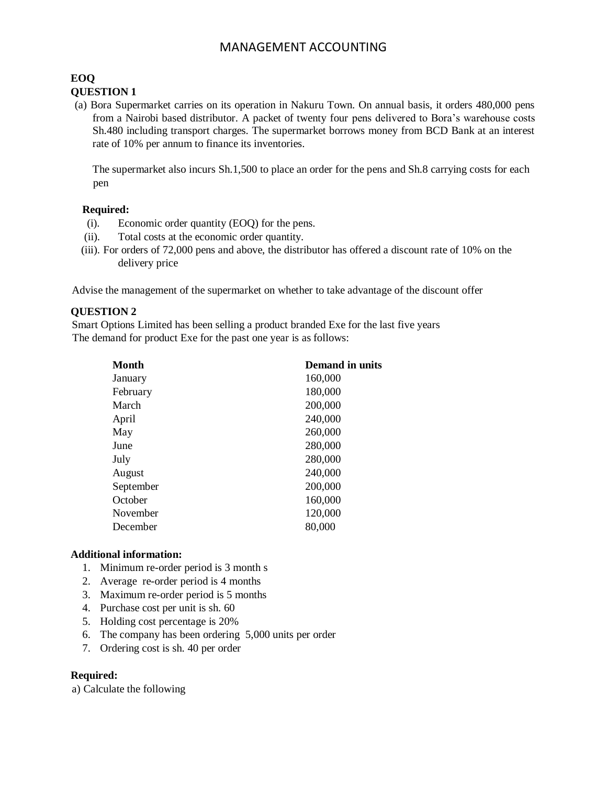# MANAGEMENT ACCOUNTING

## **EOQ QUESTION 1**

(a) Bora Supermarket carries on its operation in Nakuru Town. On annual basis, it orders 480,000 pens from a Nairobi based distributor. A packet of twenty four pens delivered to Bora's warehouse costs Sh.480 including transport charges. The supermarket borrows money from BCD Bank at an interest rate of 10% per annum to finance its inventories.

The supermarket also incurs Sh.1,500 to place an order for the pens and Sh.8 carrying costs for each pen

## **Required:**

- (i). Economic order quantity (EOQ) for the pens.
- (ii). Total costs at the economic order quantity.
- (iii). For orders of 72,000 pens and above, the distributor has offered a discount rate of 10% on the delivery price

Advise the management of the supermarket on whether to take advantage of the discount offer

# **QUESTION 2**

Smart Options Limited has been selling a product branded Exe for the last five years The demand for product Exe for the past one year is as follows:

| <b>Month</b> | <b>Demand in units</b> |
|--------------|------------------------|
| January      | 160,000                |
| February     | 180,000                |
| March        | 200,000                |
| April        | 240,000                |
| May          | 260,000                |
| June         | 280,000                |
| July         | 280,000                |
| August       | 240,000                |
| September    | 200,000                |
| October      | 160,000                |
| November     | 120,000                |
| December     | 80,000                 |

## **Additional information:**

- 1. Minimum re-order period is 3 month s
- 2. Average re-order period is 4 months
- 3. Maximum re-order period is 5 months
- 4. Purchase cost per unit is sh. 60
- 5. Holding cost percentage is 20%
- 6. The company has been ordering 5,000 units per order
- 7. Ordering cost is sh. 40 per order

## **Required:**

a) Calculate the following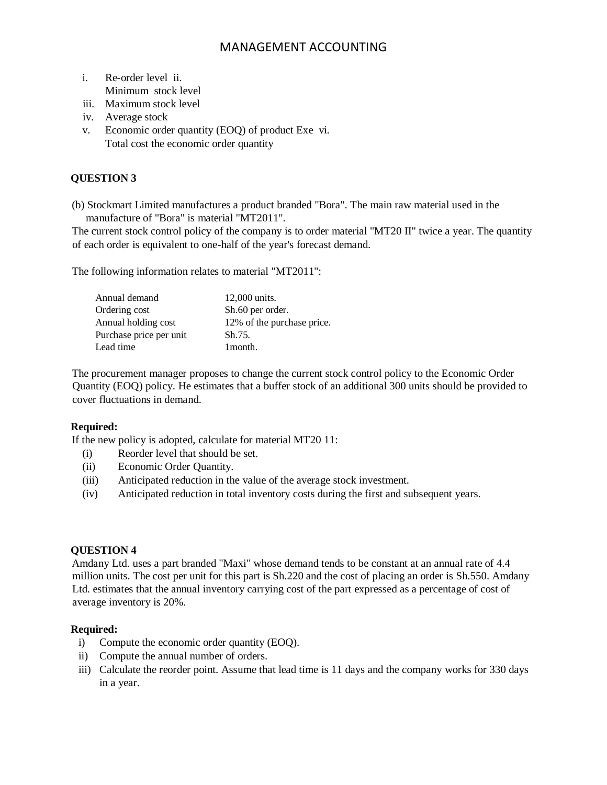# MANAGEMENT ACCOUNTING

- i. Re-order level ii. Minimum stock level
- iii. Maximum stock level
- iv. Average stock
- v. Economic order quantity (EOQ) of product Exe vi. Total cost the economic order quantity

# **QUESTION 3**

(b) Stockmart Limited manufactures a product branded "Bora". The main raw material used in the manufacture of "Bora" is material "MT2011".

The current stock control policy of the company is to order material "MT20 II" twice a year. The quantity of each order is equivalent to one-half of the year's forecast demand.

The following information relates to material "MT2011":

| Annual demand           | 12,000 units.              |
|-------------------------|----------------------------|
| Ordering cost           | Sh.60 per order.           |
| Annual holding cost     | 12% of the purchase price. |
| Purchase price per unit | Sh.75.                     |
| Lead time               | 1 month.                   |

The procurement manager proposes to change the current stock control policy to the Economic Order Quantity (EOQ) policy. He estimates that a buffer stock of an additional 300 units should be provided to cover fluctuations in demand.

## **Required:**

If the new policy is adopted, calculate for material MT20 11:

- (i) Reorder level that should be set.
- (ii) Economic Order Quantity.
- (iii) Anticipated reduction in the value of the average stock investment.
- (iv) Anticipated reduction in total inventory costs during the first and subsequent years.

#### **QUESTION 4**

Amdany Ltd. uses a part branded "Maxi" whose demand tends to be constant at an annual rate of 4.4 million units. The cost per unit for this part is Sh.220 and the cost of placing an order is Sh.550. Amdany Ltd. estimates that the annual inventory carrying cost of the part expressed as a percentage of cost of average inventory is 20%.

#### **Required:**

- i) Compute the economic order quantity (EOQ).
- ii) Compute the annual number of orders.
- iii) Calculate the reorder point. Assume that lead time is 11 days and the company works for 330 days in a year.